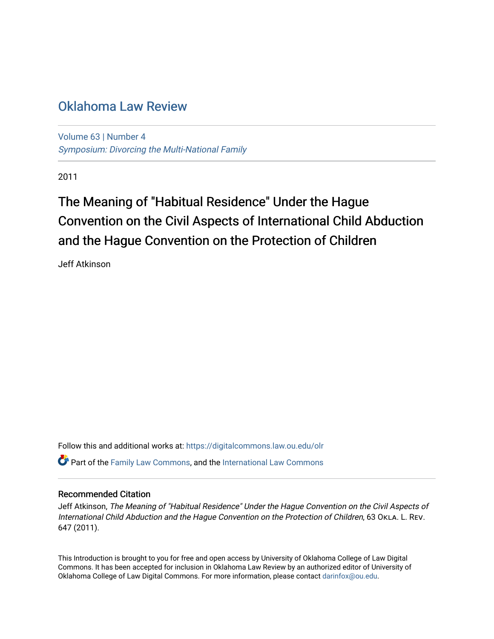# [Oklahoma Law Review](https://digitalcommons.law.ou.edu/olr)

[Volume 63](https://digitalcommons.law.ou.edu/olr/vol63) | [Number 4](https://digitalcommons.law.ou.edu/olr/vol63/iss4)  [Symposium: Divorcing the Multi-National Family](https://digitalcommons.law.ou.edu/olr/vol63/iss4)

2011

# The Meaning of "Habitual Residence" Under the Hague Convention on the Civil Aspects of International Child Abduction and the Hague Convention on the Protection of Children

Jeff Atkinson

Follow this and additional works at: [https://digitalcommons.law.ou.edu/olr](https://digitalcommons.law.ou.edu/olr?utm_source=digitalcommons.law.ou.edu%2Folr%2Fvol63%2Fiss4%2F3&utm_medium=PDF&utm_campaign=PDFCoverPages)  $\bullet$  Part of the [Family Law Commons,](http://network.bepress.com/hgg/discipline/602?utm_source=digitalcommons.law.ou.edu%2Folr%2Fvol63%2Fiss4%2F3&utm_medium=PDF&utm_campaign=PDFCoverPages) and the [International Law Commons](http://network.bepress.com/hgg/discipline/609?utm_source=digitalcommons.law.ou.edu%2Folr%2Fvol63%2Fiss4%2F3&utm_medium=PDF&utm_campaign=PDFCoverPages)

### Recommended Citation

Jeff Atkinson, The Meaning of "Habitual Residence" Under the Hague Convention on the Civil Aspects of International Child Abduction and the Hague Convention on the Protection of Children, 63 OKLA. L. REV. 647 (2011).

This Introduction is brought to you for free and open access by University of Oklahoma College of Law Digital Commons. It has been accepted for inclusion in Oklahoma Law Review by an authorized editor of University of Oklahoma College of Law Digital Commons. For more information, please contact [darinfox@ou.edu.](mailto:darinfox@ou.edu)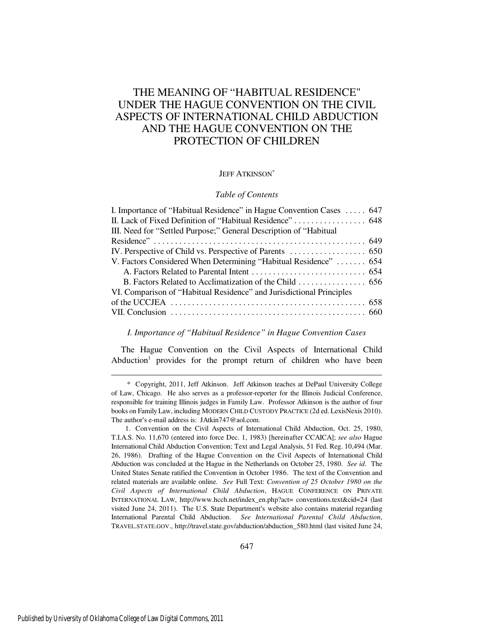## THE MEANING OF "HABITUAL RESIDENCE" UNDER THE HAGUE CONVENTION ON THE CIVIL ASPECTS OF INTERNATIONAL CHILD ABDUCTION AND THE HAGUE CONVENTION ON THE PROTECTION OF CHILDREN

#### JEFF ATKINSON\*

#### *Table of Contents*

| I. Importance of "Habitual Residence" in Hague Convention Cases  647 |  |
|----------------------------------------------------------------------|--|
|                                                                      |  |
| III. Need for "Settled Purpose;" General Description of "Habitual    |  |
|                                                                      |  |
|                                                                      |  |
| V. Factors Considered When Determining "Habitual Residence"  654     |  |
|                                                                      |  |
| B. Factors Related to Acclimatization of the Child 656               |  |
| VI. Comparison of "Habitual Residence" and Jurisdictional Principles |  |
|                                                                      |  |
|                                                                      |  |
|                                                                      |  |

*I. Importance of "Habitual Residence" in Hague Convention Cases*

The Hague Convention on the Civil Aspects of International Child Abduction<sup>1</sup> provides for the prompt return of children who have been

<sup>\*</sup> Copyright, 2011, Jeff Atkinson. Jeff Atkinson teaches at DePaul University College of Law, Chicago. He also serves as a professor-reporter for the Illinois Judicial Conference, responsible for training Illinois judges in Family Law. Professor Atkinson is the author of four books on Family Law, including MODERN CHILD CUSTODY PRACTICE (2d ed. LexisNexis 2010). The author's e-mail address is: JAtkin747@aol.com.

<sup>1.</sup> Convention on the Civil Aspects of International Child Abduction, Oct. 25, 1980, T.I.A.S. No. 11,670 (entered into force Dec. 1, 1983) [hereinafter CCAICA]; *see also* Hague International Child Abduction Convention; Text and Legal Analysis, 51 Fed. Reg. 10,494 (Mar. 26, 1986). Drafting of the Hague Convention on the Civil Aspects of International Child Abduction was concluded at the Hague in the Netherlands on October 25, 1980. *See id.* The United States Senate ratified the Convention in October 1986. The text of the Convention and related materials are available online. *See* Full Text: *Convention of 25 October 1980 on the Civil Aspects of International Child Abduction*, HAGUE CONFERENCE ON PRIVATE INTERNATIONAL LAW, http://www.hcch.net/index\_en.php?act= conventions.text&cid=24 (last visited June 24, 2011). The U.S. State Department's website also contains material regarding International Parental Child Abduction. *See International Parental Child Abduction*, TRAVEL.STATE.GOV., http://travel.state.gov/abduction/abduction\_580.html (last visited June 24,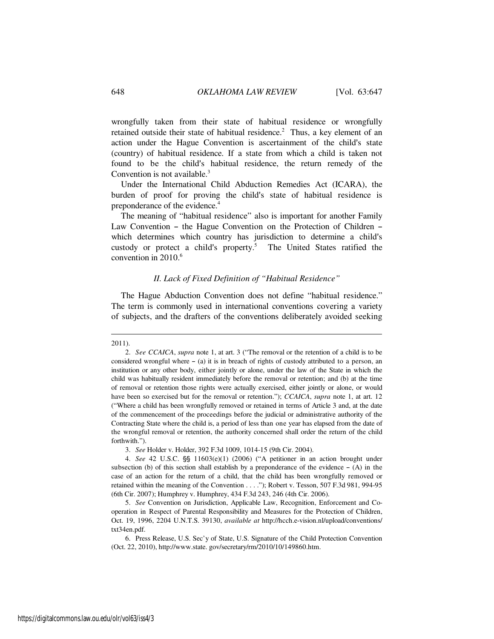wrongfully taken from their state of habitual residence or wrongfully retained outside their state of habitual residence.<sup>2</sup> Thus, a key element of an action under the Hague Convention is ascertainment of the child's state (country) of habitual residence. If a state from which a child is taken not found to be the child's habitual residence, the return remedy of the Convention is not available.<sup>3</sup>

Under the International Child Abduction Remedies Act (ICARA), the burden of proof for proving the child's state of habitual residence is preponderance of the evidence.<sup>4</sup>

The meaning of "habitual residence" also is important for another Family Law Convention - the Hague Convention on the Protection of Children which determines which country has jurisdiction to determine a child's custody or protect a child's property.<sup>5</sup> The United States ratified the convention in 2010.<sup>6</sup>

#### *II. Lack of Fixed Definition of "Habitual Residence"*

The Hague Abduction Convention does not define "habitual residence." The term is commonly used in international conventions covering a variety of subjects, and the drafters of the conventions deliberately avoided seeking

<sup>2011).</sup> 

<sup>2.</sup> *See CCAICA*, *supra* note 1, at art. 3 ("The removal or the retention of a child is to be considered wrongful where  $-$  (a) it is in breach of rights of custody attributed to a person, an institution or any other body, either jointly or alone, under the law of the State in which the child was habitually resident immediately before the removal or retention; and (b) at the time of removal or retention those rights were actually exercised, either jointly or alone, or would have been so exercised but for the removal or retention."); *CCAICA*, *supra* note 1, at art. 12 ("Where a child has been wrongfully removed or retained in terms of Article 3 and, at the date of the commencement of the proceedings before the judicial or administrative authority of the Contracting State where the child is, a period of less than one year has elapsed from the date of the wrongful removal or retention, the authority concerned shall order the return of the child forthwith.").

<sup>3.</sup> *See* Holder v. Holder, 392 F.3d 1009, 1014-15 (9th Cir. 2004).

<sup>4.</sup> *See* 42 U.S.C.  $\S$  11603(e)(1) (2006) ("A petitioner in an action brought under subsection (b) of this section shall establish by a preponderance of the evidence  $-$  (A) in the case of an action for the return of a child, that the child has been wrongfully removed or retained within the meaning of the Convention . . . ."); Robert v. Tesson, 507 F.3d 981, 994-95 (6th Cir. 2007); Humphrey v. Humphrey, 434 F.3d 243, 246 (4th Cir. 2006).

<sup>5.</sup> *See* Convention on Jurisdiction, Applicable Law, Recognition, Enforcement and Cooperation in Respect of Parental Responsibility and Measures for the Protection of Children, Oct. 19, 1996, 2204 U.N.T.S. 39130, *available at* http://hcch.e-vision.nl/upload/conventions/ txt34en.pdf.

<sup>6.</sup> Press Release, U.S. Sec'y of State, U.S. Signature of the Child Protection Convention (Oct. 22, 2010), http://www.state. gov/secretary/rm/2010/10/149860.htm.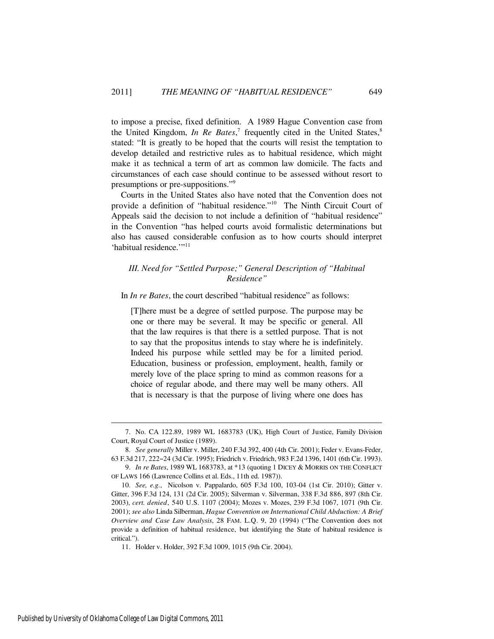to impose a precise, fixed definition. A 1989 Hague Convention case from the United Kingdom, *In Re Bates*,<sup>7</sup> frequently cited in the United States,<sup>8</sup> stated: "It is greatly to be hoped that the courts will resist the temptation to develop detailed and restrictive rules as to habitual residence, which might make it as technical a term of art as common law domicile. The facts and circumstances of each case should continue to be assessed without resort to presumptions or pre-suppositions."<sup>9</sup>

Courts in the United States also have noted that the Convention does not provide a definition of "habitual residence."<sup>10</sup> The Ninth Circuit Court of Appeals said the decision to not include a definition of "habitual residence" in the Convention "has helped courts avoid formalistic determinations but also has caused considerable confusion as to how courts should interpret 'habitual residence.'"<sup>11</sup>

#### *III. Need for "Settled Purpose;" General Description of "Habitual Residence"*

In *In re Bates*, the court described "habitual residence" as follows:

[T]here must be a degree of settled purpose. The purpose may be one or there may be several. It may be specific or general. All that the law requires is that there is a settled purpose. That is not to say that the propositus intends to stay where he is indefinitely. Indeed his purpose while settled may be for a limited period. Education, business or profession, employment, health, family or merely love of the place spring to mind as common reasons for a choice of regular abode, and there may well be many others. All that is necessary is that the purpose of living where one does has

<sup>7.</sup> No. CA 122.89, 1989 WL 1683783 (UK), High Court of Justice, Family Division Court, Royal Court of Justice (1989).

<sup>8.</sup> *See generally* Miller v. Miller, 240 F.3d 392, 400 (4th Cir. 2001); Feder v. Evans-Feder, 63 F.3d 217, 222-24 (3d Cir. 1995); Friedrich v. Friedrich, 983 F.2d 1396, 1401 (6th Cir. 1993).

<sup>9.</sup> *In re Bates*, 1989 WL 1683783, at \*13 (quoting 1 DICEY & MORRIS ON THE CONFLICT OF LAWS 166 (Lawrence Collins et al. Eds., 11th ed. 1987)).

<sup>10.</sup> *See, e.g.*, Nicolson v. Pappalardo, 605 F.3d 100, 103-04 (1st Cir. 2010); Gitter v. Gitter, 396 F.3d 124, 131 (2d Cir. 2005); Silverman v. Silverman, 338 F.3d 886, 897 (8th Cir. 2003), *cert. denied*, 540 U.S. 1107 (2004); Mozes v. Mozes, 239 F.3d 1067, 1071 (9th Cir. 2001); *see also* Linda Silberman, *Hague Convention on International Child Abduction: A Brief Overview and Case Law Analysis*, 28 FAM. L.Q. 9, 20 (1994) ("The Convention does not provide a definition of habitual residence, but identifying the State of habitual residence is critical.").

<sup>11.</sup> Holder v. Holder, 392 F.3d 1009, 1015 (9th Cir. 2004).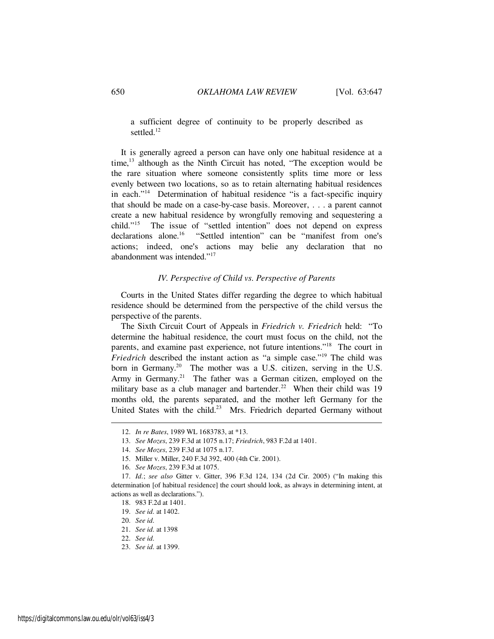a sufficient degree of continuity to be properly described as settled<sup>12</sup>

It is generally agreed a person can have only one habitual residence at a time,<sup>13</sup> although as the Ninth Circuit has noted, "The exception would be the rare situation where someone consistently splits time more or less evenly between two locations, so as to retain alternating habitual residences in each."<sup>14</sup> Determination of habitual residence "is a fact-specific inquiry that should be made on a case-by-case basis. Moreover, . . . a parent cannot create a new habitual residence by wrongfully removing and sequestering a child."<sup>15</sup> The issue of "settled intention" does not depend on express declarations alone.<sup>16</sup> "Settled intention" can be "manifest from one's "Settled intention" can be "manifest from one's actions; indeed, one's actions may belie any declaration that no abandonment was intended."<sup>17</sup>

#### *IV. Perspective of Child vs. Perspective of Parents*

Courts in the United States differ regarding the degree to which habitual residence should be determined from the perspective of the child versus the perspective of the parents.

The Sixth Circuit Court of Appeals in *Friedrich v. Friedrich* held: "To determine the habitual residence, the court must focus on the child, not the parents, and examine past experience, not future intentions."<sup>18</sup> The court in *Friedrich* described the instant action as "a simple case."<sup>19</sup> The child was born in Germany.<sup>20</sup> The mother was a U.S. citizen, serving in the U.S. Army in Germany.<sup>21</sup> The father was a German citizen, employed on the military base as a club manager and bartender.<sup>22</sup> When their child was 19 months old, the parents separated, and the mother left Germany for the United States with the child.<sup>23</sup> Mrs. Friedrich departed Germany without

<sup>12.</sup> *In re Bates*, 1989 WL 1683783, at \*13.

<sup>13.</sup> *See Mozes*, 239 F.3d at 1075 n.17; *Friedrich*, 983 F.2d at 1401.

<sup>14.</sup> *See Mozes*, 239 F.3d at 1075 n.17.

<sup>15.</sup> Miller v. Miller, 240 F.3d 392, 400 (4th Cir. 2001).

<sup>16.</sup> *See Mozes*, 239 F.3d at 1075.

<sup>17.</sup> *Id.*; *see also* Gitter v. Gitter, 396 F.3d 124, 134 (2d Cir. 2005) ("In making this determination [of habitual residence] the court should look, as always in determining intent, at actions as well as declarations.").

<sup>18. 983</sup> F.2d at 1401.

<sup>19.</sup> *See id.* at 1402.

<sup>20.</sup> *See id.*

<sup>21.</sup> *See id.* at 1398

<sup>22.</sup> *See id.*

<sup>23.</sup> *See id.* at 1399.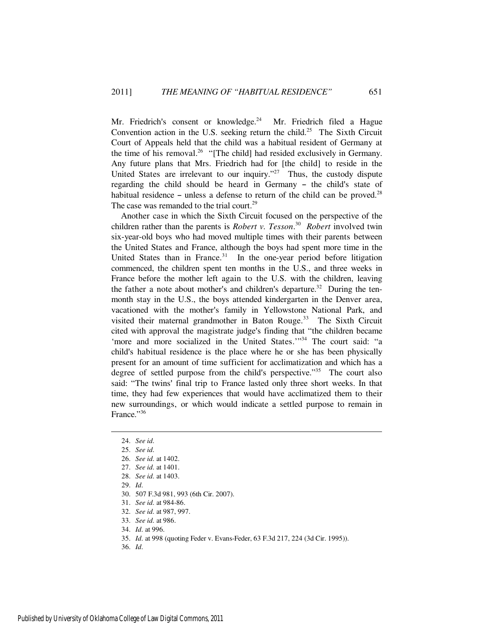Mr. Friedrich's consent or knowledge.<sup>24</sup> Mr. Friedrich filed a Hague Convention action in the U.S. seeking return the child.<sup>25</sup> The Sixth Circuit Court of Appeals held that the child was a habitual resident of Germany at the time of his removal.<sup>26</sup> "[The child] had resided exclusively in Germany. Any future plans that Mrs. Friedrich had for [the child] to reside in the United States are irrelevant to our inquiry. $127$  Thus, the custody dispute regarding the child should be heard in Germany - the child's state of habitual residence  $-$  unless a defense to return of the child can be proved.<sup>28</sup> The case was remanded to the trial court.<sup>29</sup>

Another case in which the Sixth Circuit focused on the perspective of the children rather than the parents is *Robert v. Tesson*. 30 *Robert* involved twin six-year-old boys who had moved multiple times with their parents between the United States and France, although the boys had spent more time in the United States than in France. $31$  In the one-year period before litigation commenced, the children spent ten months in the U.S., and three weeks in France before the mother left again to the U.S. with the children, leaving the father a note about mother's and children's departure.<sup>32</sup> During the tenmonth stay in the U.S., the boys attended kindergarten in the Denver area, vacationed with the mother's family in Yellowstone National Park, and visited their maternal grandmother in Baton Rouge.<sup>33</sup> The Sixth Circuit cited with approval the magistrate judge's finding that "the children became 'more and more socialized in the United States.'"<sup>34</sup> The court said: "a child's habitual residence is the place where he or she has been physically present for an amount of time sufficient for acclimatization and which has a degree of settled purpose from the child's perspective."<sup>35</sup> The court also said: "The twins' final trip to France lasted only three short weeks. In that time, they had few experiences that would have acclimatized them to their new surroundings, or which would indicate a settled purpose to remain in France."36

- 35. *Id.* at 998 (quoting Feder v. Evans-Feder, 63 F.3d 217, 224 (3d Cir. 1995)).
- 36. *Id.*

<sup>24.</sup> *See id.*

<sup>25.</sup> *See id.*

<sup>26.</sup> *See id.* at 1402.

<sup>27.</sup> *See id.* at 1401.

<sup>28.</sup> *See id.* at 1403.

<sup>29.</sup> *Id.*

<sup>30. 507</sup> F.3d 981, 993 (6th Cir. 2007).

<sup>31.</sup> *See id.* at 984-86.

<sup>32.</sup> *See id.* at 987, 997.

<sup>33.</sup> *See id.* at 986.

<sup>34.</sup> *Id.* at 996.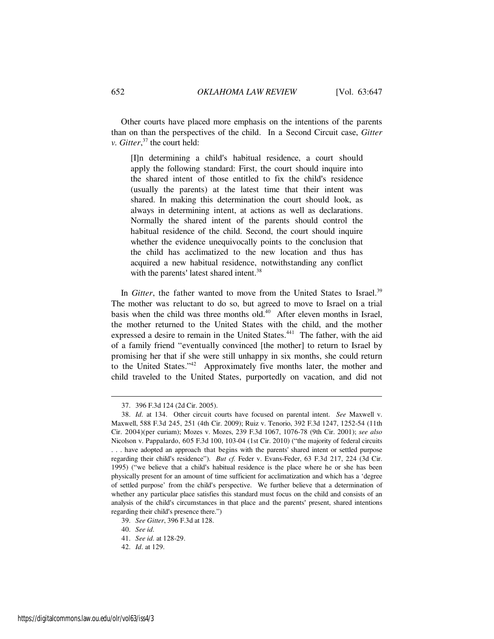Other courts have placed more emphasis on the intentions of the parents than on than the perspectives of the child. In a Second Circuit case, *Gitter v. Gitter*, <sup>37</sup> the court held:

[I]n determining a child's habitual residence, a court should apply the following standard: First, the court should inquire into the shared intent of those entitled to fix the child's residence (usually the parents) at the latest time that their intent was shared. In making this determination the court should look, as always in determining intent, at actions as well as declarations. Normally the shared intent of the parents should control the habitual residence of the child. Second, the court should inquire whether the evidence unequivocally points to the conclusion that the child has acclimatized to the new location and thus has acquired a new habitual residence, notwithstanding any conflict with the parents' latest shared intent.<sup>38</sup>

In *Gitter*, the father wanted to move from the United States to Israel.<sup>39</sup> The mother was reluctant to do so, but agreed to move to Israel on a trial basis when the child was three months old. $40$  After eleven months in Israel, the mother returned to the United States with the child, and the mother expressed a desire to remain in the United States.<sup>441</sup> The father, with the aid of a family friend "eventually convinced [the mother] to return to Israel by promising her that if she were still unhappy in six months, she could return to the United States."<sup>42</sup> Approximately five months later, the mother and child traveled to the United States, purportedly on vacation, and did not

<sup>37. 396</sup> F.3d 124 (2d Cir. 2005).

<sup>38.</sup> *Id.* at 134. Other circuit courts have focused on parental intent. *See* Maxwell v. Maxwell, 588 F.3d 245, 251 (4th Cir. 2009); Ruiz v. Tenorio, 392 F.3d 1247, 1252-54 (11th Cir. 2004)(per curiam); Mozes v. Mozes, 239 F.3d 1067, 1076-78 (9th Cir. 2001); *see also* Nicolson v. Pappalardo, 605 F.3d 100, 103-04 (1st Cir. 2010) ("the majority of federal circuits . . . have adopted an approach that begins with the parents' shared intent or settled purpose regarding their child's residence"). *But cf.* Feder v. Evans-Feder, 63 F.3d 217, 224 (3d Cir. 1995) ("we believe that a child's habitual residence is the place where he or she has been physically present for an amount of time sufficient for acclimatization and which has a 'degree of settled purpose' from the child's perspective. We further believe that a determination of whether any particular place satisfies this standard must focus on the child and consists of an analysis of the child's circumstances in that place and the parents' present, shared intentions regarding their child's presence there.")

<sup>39.</sup> *See Gitter*, 396 F.3d at 128.

<sup>40.</sup> *See id.*

<sup>41.</sup> *See id.* at 128-29.

<sup>42.</sup> *Id.* at 129.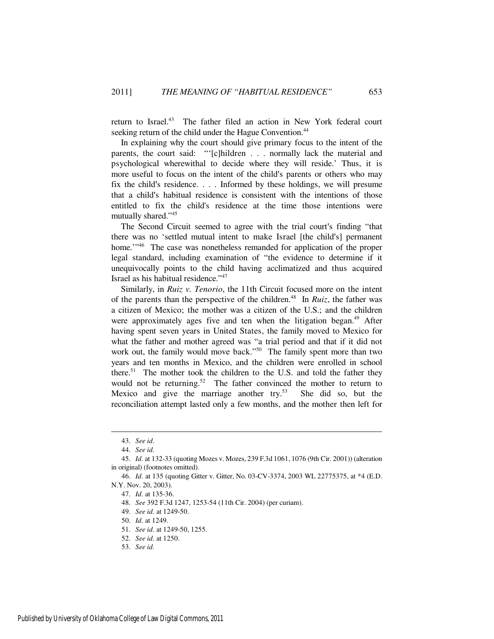return to Israel.<sup>43</sup> The father filed an action in New York federal court seeking return of the child under the Hague Convention.<sup>44</sup>

In explaining why the court should give primary focus to the intent of the parents, the court said: "'[c]hildren . . . normally lack the material and psychological wherewithal to decide where they will reside.' Thus, it is more useful to focus on the intent of the child's parents or others who may fix the child's residence.  $\ldots$  . Informed by these holdings, we will presume that a child's habitual residence is consistent with the intentions of those entitled to fix the child's residence at the time those intentions were mutually shared."<sup>45</sup>

The Second Circuit seemed to agree with the trial court's finding "that there was no 'settled mutual intent to make Israel [the child's] permanent home."<sup>46</sup> The case was nonetheless remanded for application of the proper legal standard, including examination of "the evidence to determine if it unequivocally points to the child having acclimatized and thus acquired Israel as his habitual residence."<sup>47</sup>

Similarly, in *Ruiz v. Tenorio*, the 11th Circuit focused more on the intent of the parents than the perspective of the children.<sup>48</sup> In *Ruiz*, the father was a citizen of Mexico; the mother was a citizen of the U.S.; and the children were approximately ages five and ten when the litigation began.<sup>49</sup> After having spent seven years in United States, the family moved to Mexico for what the father and mother agreed was "a trial period and that if it did not work out, the family would move back."<sup>50</sup> The family spent more than two years and ten months in Mexico, and the children were enrolled in school there.<sup>51</sup> The mother took the children to the U.S. and told the father they would not be returning.<sup>52</sup> The father convinced the mother to return to Mexico and give the marriage another try.<sup>53</sup> She did so, but the reconciliation attempt lasted only a few months, and the mother then left for

<sup>43.</sup> *See id.*

<sup>44.</sup> *See id.*

<sup>45.</sup> *Id.* at 132-33 (quoting Mozes v. Mozes, 239 F.3d 1061, 1076 (9th Cir. 2001)) (alteration in original) (footnotes omitted).

<sup>46.</sup> *Id.* at 135 (quoting Gitter v. Gitter, No. 03-CV-3374, 2003 WL 22775375, at \*4 (E.D. N.Y. Nov. 20, 2003).

<sup>47.</sup> *Id.* at 135-36.

<sup>48.</sup> *See* 392 F.3d 1247, 1253-54 (11th Cir. 2004) (per curiam).

<sup>49.</sup> *See id.* at 1249-50.

<sup>50.</sup> *Id.* at 1249.

<sup>51.</sup> *See id.* at 1249-50, 1255.

<sup>52.</sup> *See id.* at 1250.

<sup>53.</sup> *See id.*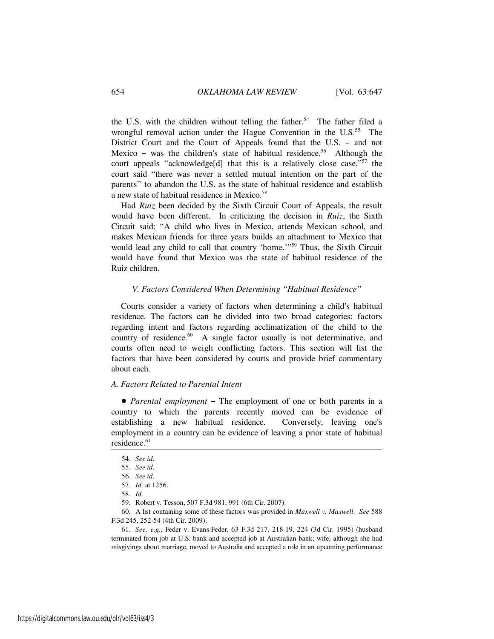the U.S. with the children without telling the father.<sup>54</sup> The father filed a wrongful removal action under the Hague Convention in the  $U.S.<sup>55</sup>$  The District Court and the Court of Appeals found that the U.S. - and not Mexico - was the children's state of habitual residence.<sup>56</sup> Although the court appeals "acknowledge<sup>[d]</sup> that this is a relatively close case,"<sup>57</sup> the court said "there was never a settled mutual intention on the part of the parents" to abandon the U.S. as the state of habitual residence and establish a new state of habitual residence in Mexico.<sup>58</sup>

Had *Ruiz* been decided by the Sixth Circuit Court of Appeals, the result would have been different. In criticizing the decision in *Ruiz*, the Sixth Circuit said: "A child who lives in Mexico, attends Mexican school, and makes Mexican friends for three years builds an attachment to Mexico that would lead any child to call that country 'home.'"<sup>59</sup> Thus, the Sixth Circuit would have found that Mexico was the state of habitual residence of the Ruiz children.

#### *V. Factors Considered When Determining "Habitual Residence"*

Courts consider a variety of factors when determining a child's habitual residence. The factors can be divided into two broad categories: factors regarding intent and factors regarding acclimatization of the child to the country of residence.<sup>60</sup> A single factor usually is not determinative, and courts often need to weigh conflicting factors. This section will list the factors that have been considered by courts and provide brief commentary about each.

#### *A. Factors Related to Parental Intent*

• *Parental employment* – The employment of one or both parents in a country to which the parents recently moved can be evidence of establishing a new habitual residence. Conversely, leaving one's employment in a country can be evidence of leaving a prior state of habitual  $residence.<sup>61</sup>$ 

<sup>54.</sup> *See id.*

<sup>55.</sup> *See id.*

<sup>56.</sup> *See id.*

<sup>57.</sup> *Id.* at 1256.

<sup>58.</sup> *Id.*

<sup>59.</sup> Robert v. Tesson, 507 F.3d 981, 991 (6th Cir. 2007).

<sup>60.</sup> A list containing some of these factors was provided in *Maxwell v. Maxwell*. *See* 588 F.3d 245, 252-54 (4th Cir. 2009).

<sup>61.</sup> *See, e.g.,* Feder v. Evans-Feder, 63 F.3d 217, 218-19, 224 (3d Cir. 1995) (husband terminated from job at U.S. bank and accepted job at Australian bank; wife, although she had misgivings about marriage, moved to Australia and accepted a role in an upcoming performance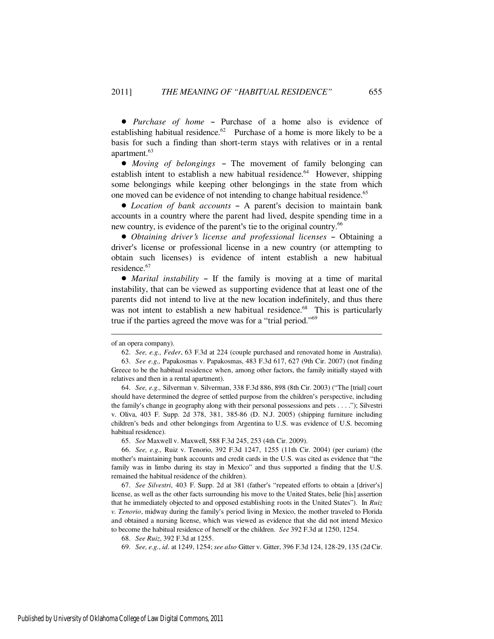• *Purchase of home* – Purchase of a home also is evidence of establishing habitual residence.<sup>62</sup> Purchase of a home is more likely to be a basis for such a finding than short-term stays with relatives or in a rental apartment.<sup>63</sup>

• *Moving of belongings* – The movement of family belonging can establish intent to establish a new habitual residence.<sup>64</sup> However, shipping some belongings while keeping other belongings in the state from which one moved can be evidence of not intending to change habitual residence.<sup>65</sup>

• *Location of bank accounts* - A parent's decision to maintain bank accounts in a country where the parent had lived, despite spending time in a new country, is evidence of the parent's tie to the original country.<sup>66</sup>

• *Obtaining driver's license and professional licenses* - Obtaining a driver's license or professional license in a new country (or attempting to obtain such licenses) is evidence of intent establish a new habitual residence.<sup>67</sup>

• *Marital instability* – If the family is moving at a time of marital instability, that can be viewed as supporting evidence that at least one of the parents did not intend to live at the new location indefinitely, and thus there was not intent to establish a new habitual residence.<sup>68</sup> This is particularly true if the parties agreed the move was for a "trial period."<sup>69</sup>

of an opera company).

<sup>62.</sup> *See, e.g., Feder*, 63 F.3d at 224 (couple purchased and renovated home in Australia). 63. *See e.g.,* Papakosmas v. Papakosmas, 483 F.3d 617, 627 (9th Cir. 2007) (not finding Greece to be the habitual residence when, among other factors, the family initially stayed with relatives and then in a rental apartment).

<sup>64.</sup> *See, e.g.,* Silverman v. Silverman, 338 F.3d 886, 898 (8th Cir. 2003) ("The [trial] court should have determined the degree of settled purpose from the children's perspective, including the family's change in geography along with their personal possessions and pets . . . ."); Silvestri v. Oliva, 403 F. Supp. 2d 378, 381, 385-86 (D. N.J. 2005) (shipping furniture including children's beds and other belongings from Argentina to U.S. was evidence of U.S. becoming habitual residence).

<sup>65.</sup> *See* Maxwell v. Maxwell, 588 F.3d 245, 253 (4th Cir. 2009).

<sup>66.</sup> *See, e.g.,* Ruiz v. Tenorio, 392 F.3d 1247, 1255 (11th Cir. 2004) (per curiam) (the mother's maintaining bank accounts and credit cards in the U.S. was cited as evidence that "the family was in limbo during its stay in Mexico" and thus supported a finding that the U.S. remained the habitual residence of the children).

<sup>67.</sup> *See Silvestri*, 403 F. Supp. 2d at 381 (father's "repeated efforts to obtain a [driver's] license, as well as the other facts surrounding his move to the United States, belie [his] assertion that he immediately objected to and opposed establishing roots in the United States"). In *Ruiz v. Tenorio*, midway during the family's period living in Mexico, the mother traveled to Florida and obtained a nursing license, which was viewed as evidence that she did not intend Mexico to become the habitual residence of herself or the children. *See* 392 F.3d at 1250, 1254.

<sup>68.</sup> *See Ruiz*, 392 F.3d at 1255.

<sup>69.</sup> *See, e.g.*, *id.* at 1249, 1254; *see also* Gitter v. Gitter, 396 F.3d 124, 128-29, 135 (2d Cir.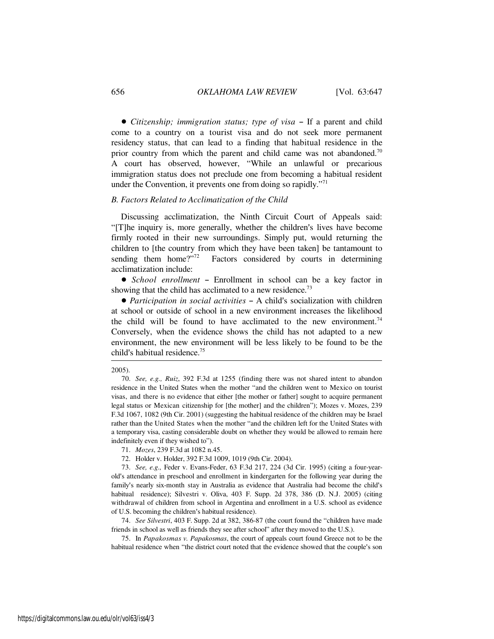• *Citizenship; immigration status; type of visa* – If a parent and child come to a country on a tourist visa and do not seek more permanent residency status, that can lead to a finding that habitual residence in the prior country from which the parent and child came was not abandoned.<sup>70</sup> A court has observed, however, "While an unlawful or precarious immigration status does not preclude one from becoming a habitual resident under the Convention, it prevents one from doing so rapidly. $171$ 

#### *B. Factors Related to Acclimatization of the Child*

Discussing acclimatization, the Ninth Circuit Court of Appeals said: "[T]he inquiry is, more generally, whether the children's lives have become firmly rooted in their new surroundings. Simply put, would returning the children to [the country from which they have been taken] be tantamount to sending them home?" $7^{72}$  Factors considered by courts in determining acclimatization include:

• *School enrollment* - Enrollment in school can be a key factor in showing that the child has acclimated to a new residence.<sup>73</sup>

• *Participation in social activities* – A child's socialization with children at school or outside of school in a new environment increases the likelihood the child will be found to have acclimated to the new environment.<sup>74</sup> Conversely, when the evidence shows the child has not adapted to a new environment, the new environment will be less likely to be found to be the child's habitual residence.<sup>75</sup>

#### 2005).

72. Holder v. Holder, 392 F.3d 1009, 1019 (9th Cir. 2004).

73. *See, e.g.,* Feder v. Evans-Feder, 63 F.3d 217, 224 (3d Cir. 1995) (citing a four-yearold's attendance in preschool and enrollment in kindergarten for the following year during the family's nearly six-month stay in Australia as evidence that Australia had become the child's habitual residence); Silvestri v. Oliva, 403 F. Supp. 2d 378, 386 (D. N.J. 2005) (citing withdrawal of children from school in Argentina and enrollment in a U.S. school as evidence of U.S. becoming the children's habitual residence).

74. *See Silvestri*, 403 F. Supp. 2d at 382, 386-87 (the court found the "children have made friends in school as well as friends they see after school" after they moved to the U.S.).

75. In *Papakosmas v. Papakosmas*, the court of appeals court found Greece not to be the habitual residence when "the district court noted that the evidence showed that the couple's son

<sup>70.</sup> *See, e.g., Ruiz*, 392 F.3d at 1255 (finding there was not shared intent to abandon residence in the United States when the mother "and the children went to Mexico on tourist visas, and there is no evidence that either [the mother or father] sought to acquire permanent legal status or Mexican citizenship for [the mother] and the children"); Mozes v. Mozes, 239 F.3d 1067, 1082 (9th Cir. 2001) (suggesting the habitual residence of the children may be Israel rather than the United States when the mother "and the children left for the United States with a temporary visa, casting considerable doubt on whether they would be allowed to remain here indefinitely even if they wished to").

<sup>71.</sup> *Mozes*, 239 F.3d at 1082 n.45.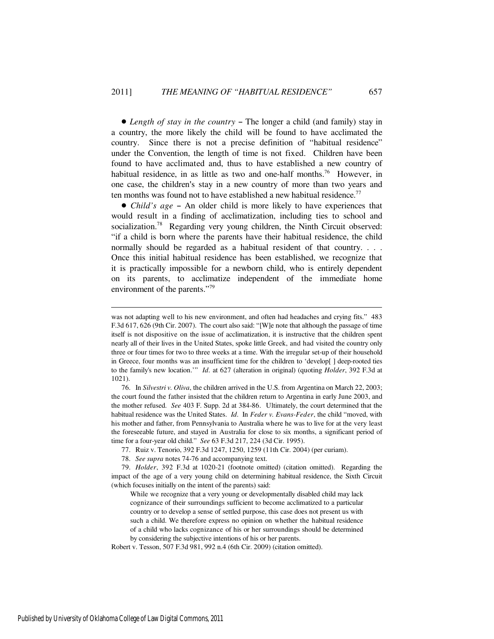• Length of stay in the country – The longer a child (and family) stay in a country, the more likely the child will be found to have acclimated the country. Since there is not a precise definition of "habitual residence" under the Convention, the length of time is not fixed. Children have been found to have acclimated and, thus to have established a new country of habitual residence, in as little as two and one-half months.<sup>76</sup> However, in one case, the children's stay in a new country of more than two years and ten months was found not to have established a new habitual residence.<sup>77</sup>

• *Child's age* – An older child is more likely to have experiences that would result in a finding of acclimatization, including ties to school and socialization.<sup>78</sup> Regarding very young children, the Ninth Circuit observed: "if a child is born where the parents have their habitual residence, the child normally should be regarded as a habitual resident of that country. . . . Once this initial habitual residence has been established, we recognize that it is practically impossible for a newborn child, who is entirely dependent on its parents, to acclimatize independent of the immediate home environment of the parents."<sup>79</sup>

was not adapting well to his new environment, and often had headaches and crying fits." 483 F.3d 617, 626 (9th Cir. 2007). The court also said: "[W]e note that although the passage of time itself is not dispositive on the issue of acclimatization, it is instructive that the children spent nearly all of their lives in the United States, spoke little Greek, and had visited the country only three or four times for two to three weeks at a time. With the irregular set-up of their household in Greece, four months was an insufficient time for the children to 'develop[ ] deep-rooted ties to the family's new location.'" *Id.* at 627 (alteration in original) (quoting *Holder*, 392 F.3d at 1021).

<sup>76.</sup> In *Silvestri v. Oliva*, the children arrived in the U.S. from Argentina on March 22, 2003; the court found the father insisted that the children return to Argentina in early June 2003, and the mother refused. *See* 403 F. Supp. 2d at 384-86. Ultimately, the court determined that the habitual residence was the United States. *Id.* In *Feder v. Evans-Feder*, the child "moved, with his mother and father, from Pennsylvania to Australia where he was to live for at the very least the foreseeable future, and stayed in Australia for close to six months, a significant period of time for a four-year old child." *See* 63 F.3d 217, 224 (3d Cir. 1995).

<sup>77.</sup> Ruiz v. Tenorio, 392 F.3d 1247, 1250, 1259 (11th Cir. 2004) (per curiam).

<sup>78.</sup> *See supra* notes 74-76 and accompanying text.

<sup>79.</sup> *Holder*, 392 F.3d at 1020-21 (footnote omitted) (citation omitted). Regarding the impact of the age of a very young child on determining habitual residence, the Sixth Circuit (which focuses initially on the intent of the parents) said:

While we recognize that a very young or developmentally disabled child may lack cognizance of their surroundings sufficient to become acclimatized to a particular country or to develop a sense of settled purpose, this case does not present us with such a child. We therefore express no opinion on whether the habitual residence of a child who lacks cognizance of his or her surroundings should be determined by considering the subjective intentions of his or her parents.

Robert v. Tesson, 507 F.3d 981, 992 n.4 (6th Cir. 2009) (citation omitted).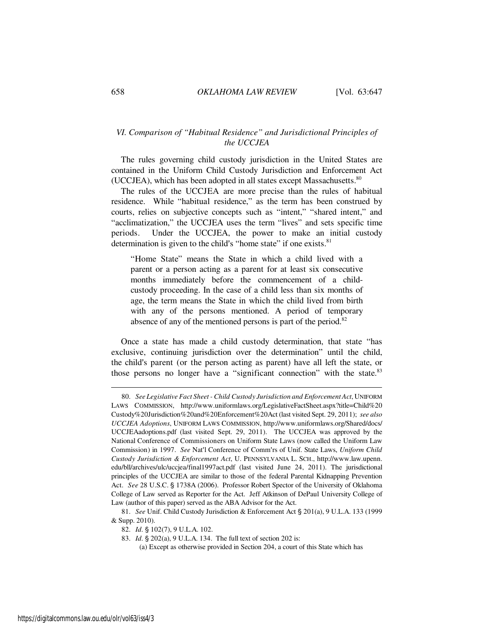#### *VI. Comparison of "Habitual Residence" and Jurisdictional Principles of the UCCJEA*

The rules governing child custody jurisdiction in the United States are contained in the Uniform Child Custody Jurisdiction and Enforcement Act (UCCJEA), which has been adopted in all states except Massachusetts. $80$ 

The rules of the UCCJEA are more precise than the rules of habitual residence. While "habitual residence," as the term has been construed by courts, relies on subjective concepts such as "intent," "shared intent," and "acclimatization," the UCCJEA uses the term "lives" and sets specific time periods. Under the UCCJEA, the power to make an initial custody determination is given to the child's "home state" if one exists. $81$ 

"Home State" means the State in which a child lived with a parent or a person acting as a parent for at least six consecutive months immediately before the commencement of a childcustody proceeding. In the case of a child less than six months of age, the term means the State in which the child lived from birth with any of the persons mentioned. A period of temporary absence of any of the mentioned persons is part of the period. $82$ 

Once a state has made a child custody determination, that state "has exclusive, continuing jurisdiction over the determination" until the child, the child's parent (or the person acting as parent) have all left the state, or those persons no longer have a "significant connection" with the state.<sup>83</sup>

<sup>80.</sup> *See Legislative Fact Sheet - Child Custody Jurisdiction and Enforcement Act*, UNIFORM LAWS COMMISSION, http://www.uniformlaws.org/LegislativeFactSheet.aspx?title=Child%20 Custody%20Jurisdiction%20and%20Enforcement%20Act (last visited Sept. 29, 2011); *see also UCCJEA Adoptions*, UNIFORM LAWS COMMISSION, http://www.uniformlaws.org/Shared/docs/ UCCJEAadoptions.pdf (last visited Sept. 29, 2011). The UCCJEA was approved by the National Conference of Commissioners on Uniform State Laws (now called the Uniform Law Commission) in 1997. *See* Nat'l Conference of Comm'rs of Unif. State Laws, *Uniform Child Custody Jurisdiction & Enforcement Act*, U. PENNSYLVANIA L. SCH., http://www.law.upenn. edu/bll/archives/ulc/uccjea/final1997act.pdf (last visited June 24, 2011). The jurisdictional principles of the UCCJEA are similar to those of the federal Parental Kidnapping Prevention Act. *See* 28 U.S.C. § 1738A (2006). Professor Robert Spector of the University of Oklahoma College of Law served as Reporter for the Act. Jeff Atkinson of DePaul University College of Law (author of this paper) served as the ABA Advisor for the Act.

<sup>81.</sup> *See* Unif. Child Custody Jurisdiction & Enforcement Act § 201(a), 9 U.L.A. 133 (1999 & Supp. 2010).

<sup>82.</sup> *Id.* § 102(7), 9 U.L.A. 102.

<sup>83.</sup> *Id.* § 202(a), 9 U.L.A. 134. The full text of section 202 is:

<sup>(</sup>a) Except as otherwise provided in Section 204, a court of this State which has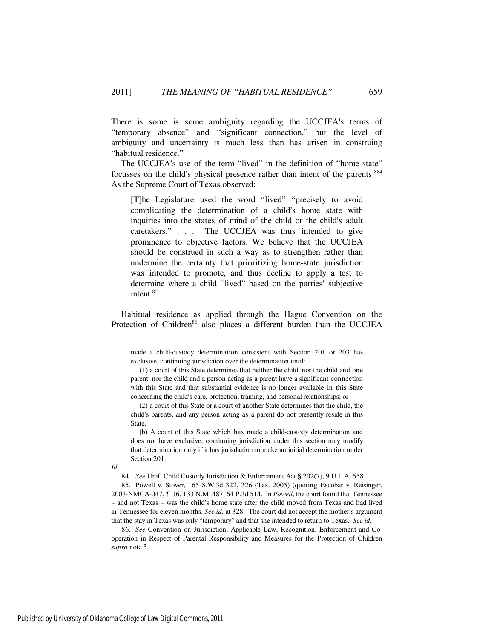There is some is some ambiguity regarding the UCCJEA's terms of "temporary absence" and "significant connection," but the level of ambiguity and uncertainty is much less than has arisen in construing "habitual residence."

The UCCJEA's use of the term "lived" in the definition of "home state" focusses on the child's physical presence rather than intent of the parents.<sup>884</sup> As the Supreme Court of Texas observed:

[T]he Legislature used the word "lived" "precisely to avoid complicating the determination of a child's home state with inquiries into the states of mind of the child or the child's adult caretakers." . . . The UCCJEA was thus intended to give prominence to objective factors. We believe that the UCCJEA should be construed in such a way as to strengthen rather than undermine the certainty that prioritizing home-state jurisdiction was intended to promote, and thus decline to apply a test to determine where a child "lived" based on the parties' subjective intent.<sup>85</sup>

Habitual residence as applied through the Hague Convention on the Protection of Children<sup>86</sup> also places a different burden than the UCCJEA

made a child-custody determination consistent with Section 201 or 203 has exclusive, continuing jurisdiction over the determination until:

*Id.* 

84. *See* Unif. Child Custody Jurisdiction & Enforcement Act § 202(7), 9 U.L.A. 658.

85. Powell v. Stover, 165 S.W.3d 322, 326 (Tex. 2005) (quoting Escobar v. Reisinger, 2003-NMCA-047, & 16, 133 N.M. 487, 64 P.3d 514. In *Powell*, the court found that Tennessee - and not Texas - was the child's home state after the child moved from Texas and had lived in Tennessee for eleven months. *See id.* at 328. The court did not accept the mother's argument that the stay in Texas was only "temporary" and that she intended to return to Texas. *See id.*

86. *See* Convention on Jurisdiction, Applicable Law, Recognition, Enforcement and Cooperation in Respect of Parental Responsibility and Measures for the Protection of Children *supra* note 5.

 $(1)$  a court of this State determines that neither the child, nor the child and one parent, nor the child and a person acting as a parent have a significant connection with this State and that substantial evidence is no longer available in this State concerning the child's care, protection, training, and personal relationships; or

<sup>(2)</sup> a court of this State or a court of another State determines that the child, the child's parents, and any person acting as a parent do not presently reside in this State.

<sup>(</sup>b) A court of this State which has made a child-custody determination and does not have exclusive, continuing jurisdiction under this section may modify that determination only if it has jurisdiction to make an initial determination under Section 201.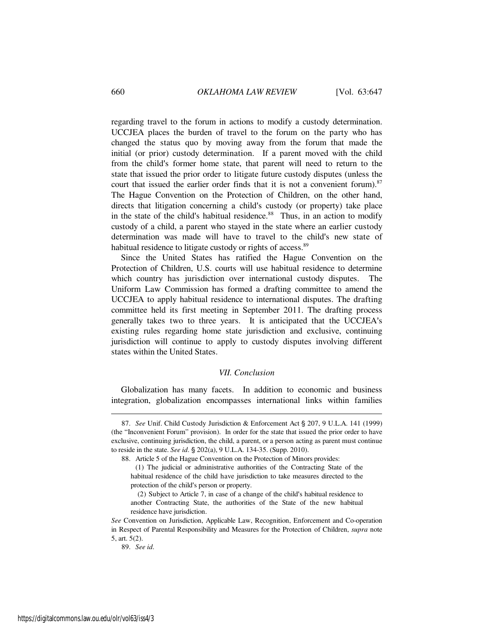regarding travel to the forum in actions to modify a custody determination. UCCJEA places the burden of travel to the forum on the party who has changed the status quo by moving away from the forum that made the initial (or prior) custody determination. If a parent moved with the child from the child's former home state, that parent will need to return to the state that issued the prior order to litigate future custody disputes (unless the court that issued the earlier order finds that it is not a convenient forum).<sup>87</sup> The Hague Convention on the Protection of Children, on the other hand, directs that litigation concerning a child's custody (or property) take place in the state of the child's habitual residence.<sup>88</sup> Thus, in an action to modify custody of a child, a parent who stayed in the state where an earlier custody determination was made will have to travel to the child's new state of habitual residence to litigate custody or rights of access.<sup>89</sup>

Since the United States has ratified the Hague Convention on the Protection of Children, U.S. courts will use habitual residence to determine which country has jurisdiction over international custody disputes. The Uniform Law Commission has formed a drafting committee to amend the UCCJEA to apply habitual residence to international disputes. The drafting committee held its first meeting in September 2011. The drafting process generally takes two to three years. It is anticipated that the UCCJEA's existing rules regarding home state jurisdiction and exclusive, continuing jurisdiction will continue to apply to custody disputes involving different states within the United States.

#### *VII. Conclusion*

Globalization has many facets. In addition to economic and business integration, globalization encompasses international links within families

<sup>87.</sup> *See* Unif. Child Custody Jurisdiction & Enforcement Act § 207, 9 U.L.A. 141 (1999) (the "Inconvenient Forum" provision). In order for the state that issued the prior order to have exclusive, continuing jurisdiction, the child, a parent, or a person acting as parent must continue to reside in the state. *See id.* § 202(a), 9 U.L.A. 134-35. (Supp. 2010).

<sup>88.</sup> Article 5 of the Hague Convention on the Protection of Minors provides:

<sup>(1)</sup> The judicial or administrative authorities of the Contracting State of the habitual residence of the child have jurisdiction to take measures directed to the protection of the child's person or property.

 $(2)$  Subject to Article 7, in case of a change of the child's habitual residence to another Contracting State, the authorities of the State of the new habitual residence have jurisdiction.

*See* Convention on Jurisdiction, Applicable Law, Recognition, Enforcement and Co-operation in Respect of Parental Responsibility and Measures for the Protection of Children, *supra* note 5, art. 5(2).

<sup>89.</sup> *See id.*